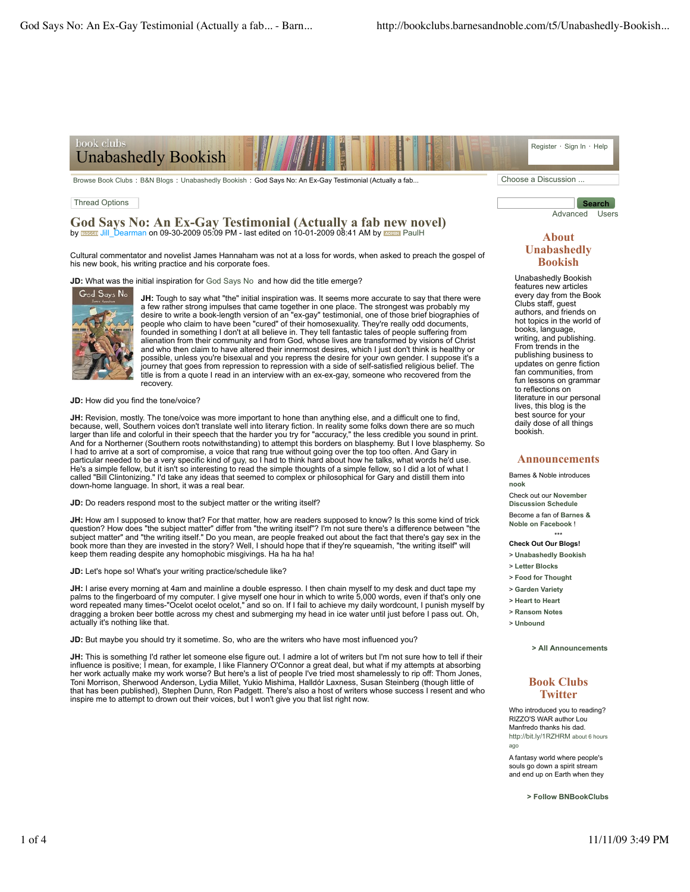

Browse Book Clubs : B&N Blogs : Unabashedly Bookish : God Says No: An Ex-Gay Testimonial (Actually a fab... Choose a Discussion ...

#### Thread Options

**God Says No: An Ex-Gay Testimonial (Actually a fab new novel)** by **Budges:** Jill\_Dearman on 09-30-2009 05:09 PM - last edited on 10-01-2009 08:41 AM by **ROMINI** PaulH

Cultural commentator and novelist James Hannaham was not at a loss for words, when asked to preach the gospel of his new book, his writing practice and his corporate foes.

**JD:** What was the initial inspiration for God Says No and how did the title emerge?



**JH:** Tough to say what "the" initial inspiration was. It seems more accurate to say that there were a few rather strong impulses that came together in one place. The strongest was probably my desire to write a book-length version of an "ex-gay" testimonial, one of those brief biographies of people who claim to have been "cured" of their homosexuality. They're really odd documents, founded in something I don't at all believe in. They tell fantastic tales of people suffering from alienation from their community and from God, whose lives are transformed by visions of Christ and who then claim to have altered their innermost desires, which I just don't think is healthy or possible, unless you're bisexual and you repress the desire for your own gender. I suppose it's a journey that goes from repression to repression with a side of self-satisfied religious belief. The title is from a quote I read in an interview with an ex-ex-gay, someone who recovered from the recovery.

**JD:** How did you find the tone/voice?

**JH:** Revision, mostly. The tone/voice was more important to hone than anything else, and a difficult one to find, because, well, Southern voices don't translate well into literary fiction. In reality some folks down there are so much<br>larger than life and colorful in their speech that the harder you try for "accuracy," the less credibl And for a Northerner (Southern roots notwithstanding) to attempt this borders on blasphemy. But I love blasphemy. So I had to arrive at a sort of compromise, a voice that rang true without going over the top too often. And Gary in particular needed to be a very specific kind of guy, so I had to think hard about how he talks, what words he'd use. He's a simple fellow, but it isn't so interesting to read the simple thoughts of a simple fellow, so I did a lot of what I called "Bill Clintonizing." I'd take any ideas that seemed to complex or philosophical for Gary and distill them into down-home language. In short, it was a real bear.

**JD:** Do readers respond most to the subject matter or the writing itself?

**JH:** How am I supposed to know that? For that matter, how are readers supposed to know? Is this some kind of trick question? How does "the subject matter" differ from "the writing itself"? I'm not sure there's a difference between "the subject matter" and "the writing itself." Do you mean, are people freaked out about the fact that there's gay sex in the<br>book more than they are invested in the story? Well, I should hope that if they're squeamish, "the wr keep them reading despite any homophobic misgivings. Ha ha ha ha!

**JD:** Let's hope so! What's your writing practice/schedule like?

**JH:** I arise every morning at 4am and mainline a double espresso. I then chain myself to my desk and duct tape my palms to the fingerboard of my computer. I give myself one hour in which to write 5,000 words, even if that's only one<br>word repeated many times-"Ocelot ocelot ocelot," and so on. If I fail to achieve my daily wordcount, I dragging a broken beer bottle across my chest and submerging my head in ice water until just before I pass out. Oh, actually it's nothing like that.

**JD:** But maybe you should try it sometime. So, who are the writers who have most influenced you?

**JH:** This is something I'd rather let someone else figure out. I admire a lot of writers but I'm not sure how to tell if their influence is positive; I mean, for example, I like Flannery O'Connor a great deal, but what if my attempts at absorbing her work actually make my work worse? But here's a list of people I've tried most shamelessly to rip off: Thom Jones, Toni Morrison, Sherwood Anderson, Lydia Millet, Yukio Mishima, Halldór Laxness, Susan Steinberg (though little of that has been published), Stephen Dunn, Ron Padgett. There's also a host of writers whose success I resent and who inspire me to attempt to drown out their voices, but I won't give you that list right now.

# **About Unabashedly**

**Bookish**

**Search** Advanced Users

Unabashedly Bookish features new articles every day from the Book Clubs staff, guest authors, and friends on hot topics in the world of books, language, writing, and publishing. From trends in the publishing business to updates on genre fiction fan communities, from fun lessons on grammar to reflections on literature in our personal lives, this blog is the best source for your daily dose of all things bookish.

#### **Announcements**

Barnes & Noble introduces **nook** Check out our **November Discussion Schedule** Become a fan of **Barnes &**

**Noble on Facebook** !

- \*\*\* **Check Out Our Blogs!**
- > **Unabashedly Bookish**
- > **Letter Blocks**
- > **Food for Thought**
- > **Garden Variety**
- > **Heart to Heart**
- > **Ransom Notes**
- > **Unbound**

**> All Announcements**

#### **Book Clubs Twitter**

Who introduced you to reading? RIZZO'S WAR author Lou Manfredo thanks his dad. http://bit.ly/1RZHRM about 6 hours ago

A fantasy world where people's souls go down a spirit stream and end up on Earth when they

**> Follow BNBookClubs**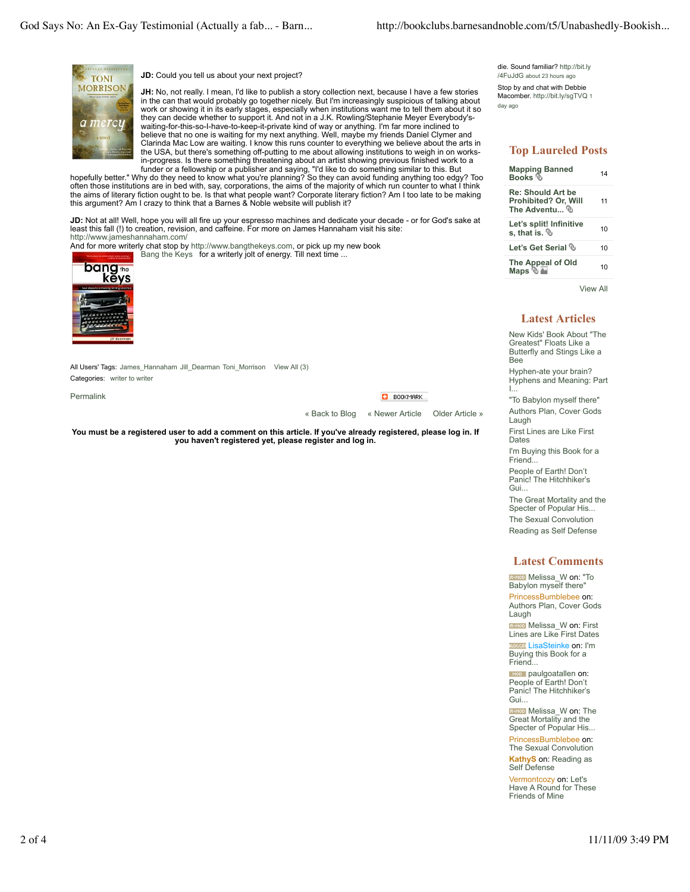

**JD:** Could you tell us about your next project?

**JH:** No, not really. I mean, I'd like to publish a story collection next, because I have a few stories in the can that would probably go together nicely. But I'm increasingly suspicious of talking about work or showing it in its early stages, especially when institutions want me to tell them about it so they can decide whether to support it. And not in a J.K. Rowling/Stephanie Meyer Everybody'swaiting-for-this-so-I-have-to-keep-it-private kind of way or anything. I'm far more inclined to believe that no one is waiting for my next anything. Well, maybe my friends Daniel Clymer and Clarinda Mac Low are waiting. I know this runs counter to everything we believe about the arts in the USA, but there's something off-putting to me about allowing institutions to weigh in on worksin-progress. Is there something threatening about an artist showing previous finished work to a

funder or a fellowship or a publisher and saying, "I'd like to do something similar to this. But hopefully better." Why do they need to know what you're planning? So they can avoid funding anything too edgy? Too often those institutions are in bed with, say, corporations, the aims of the majority of which run counter to what I think the aims of literary fiction ought to be. Is that what people want? Corporate literary fiction? Am I too late to be making this argument? Am I crazy to think that a Barnes & Noble website will publish it?

**JD:** Not at all! Well, hope you will all fire up your espresso machines and dedicate your decade - or for God's sake at<br>least this fall (!) to creation, revision, and caffeine. For more on James Hannaham visit his site: http://www.jameshannaham.com/

And for more writerly chat stop by http://www.bangthekeys.com, or pick up my new book Bang the Keys for a writerly jolt of energy. Till next time ...



All Users' Tags: James\_Hannaham Jill\_Dearman Toni\_Morrison View All (3) Categories: writer to writer

Permalink

**BOOKMARK** 

« Back to Blog « Newer Article Older Article »

**You must be a registered user to add a comment on this article. If you've already registered, please log in. If you haven't registered yet, please register and log in.**

#### die. Sound familiar? http://bit.ly /4FuJdG about 23 hours ago

Stop by and chat with Debbie Macomber. http://bit.lv/sqTVQ 1 day ago

# **Top Laureled Posts**

| <b>Mapping Banned</b><br><b>Books</b>                             | 14 |
|-------------------------------------------------------------------|----|
| <b>Re: Should Art be</b><br>Prohibited? Or, Will<br>The Adventu ® | 11 |
| Let's split! Infinitive<br>s. that is. $%$                        | 10 |
| Let's Get Serial <sup>®</sup>                                     | 10 |
| The Appeal of Old<br>Maps $\mathbb{Z}$                            | 10 |

View All

### **Latest Articles**

New Kids' Book About "The Greatest" Floats Like a Butterfly and Stings Like a Bee Hyphen-ate your brain? Hyphens and Meaning: Part I...

"To Babylon myself there" Authors Plan, Cover Gods Laugh

First Lines are Like First Dates

I'm Buying this Book for a Friend...

People of Earth! Don't Panic! The Hitchhiker's Gui...

The Great Mortality and the Specter of Popular His... The Sexual Convolution

Reading as Self Defense

### **Latest Comments**

**REMOD** Melissa\_W on: "To Babylon myself there' PrincessBumblebee on: Authors Plan, Cover Gods Laugh

**Bargo Melissa\_W on: First<br>Lines are Like First Dates BLOODER** LisaSteinke on: I'm Buying this Book for a Friend...

**p** paulgoatallen on: People of Earth! Don't Panic! The Hitchhiker's Gui...

**REMOD** Melissa W on: The Great Mortality and the Specter of Popular His...

PrincessBumblebee on: The Sexual Convolution

**KathyS** on: Reading as Self Defense

Vermontcozy on: Let's Have A Round for These Friends of Mine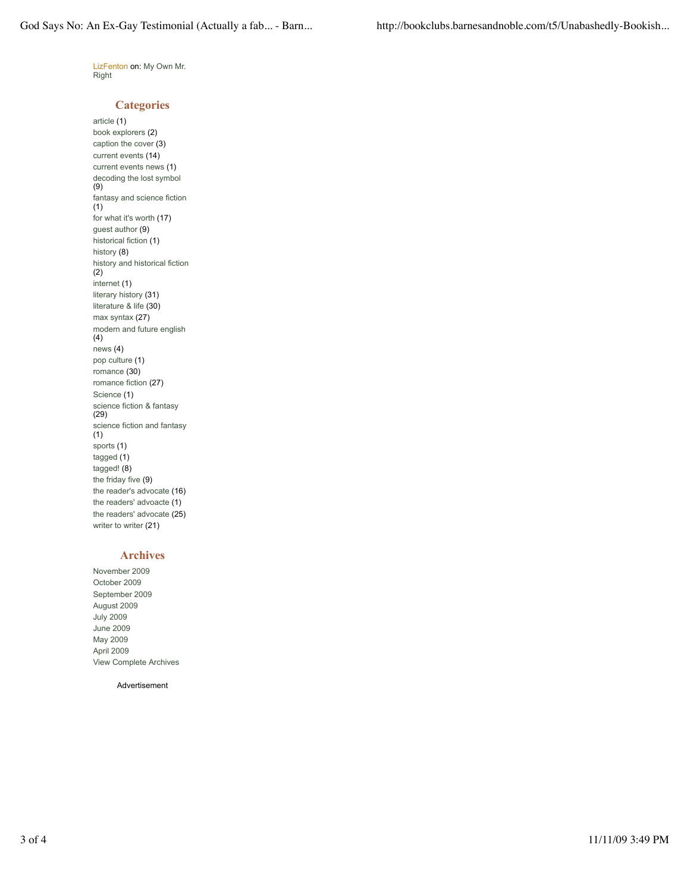LizFenton on: My Own Mr. Right

## **Categories**

article (1) book explorers (2) caption the cover (3) current events (14) current events news (1) decoding the lost symbol (9) fantasy and science fiction (1) for what it's worth (17) guest author (9) historical fiction (1) history (8) history and historical fiction (2) internet (1) literary history (31) literature & life (30) max syntax (27) modern and future english (4) news (4) pop culture (1) romance (30) romance fiction (27) Science (1) science fiction & fantasy (29) science fiction and fantasy (1) sports (1) tagged (1) tagged! (8) the friday five (9) the reader's advocate (16) the readers' advoacte (1) the readers' advocate (25) writer to writer (21)

# **Archives**

November 2009 October 2009 September 2009 August 2009 July 2009 June 2009 May 2009 April 2009 View Complete Archives

Advertisement